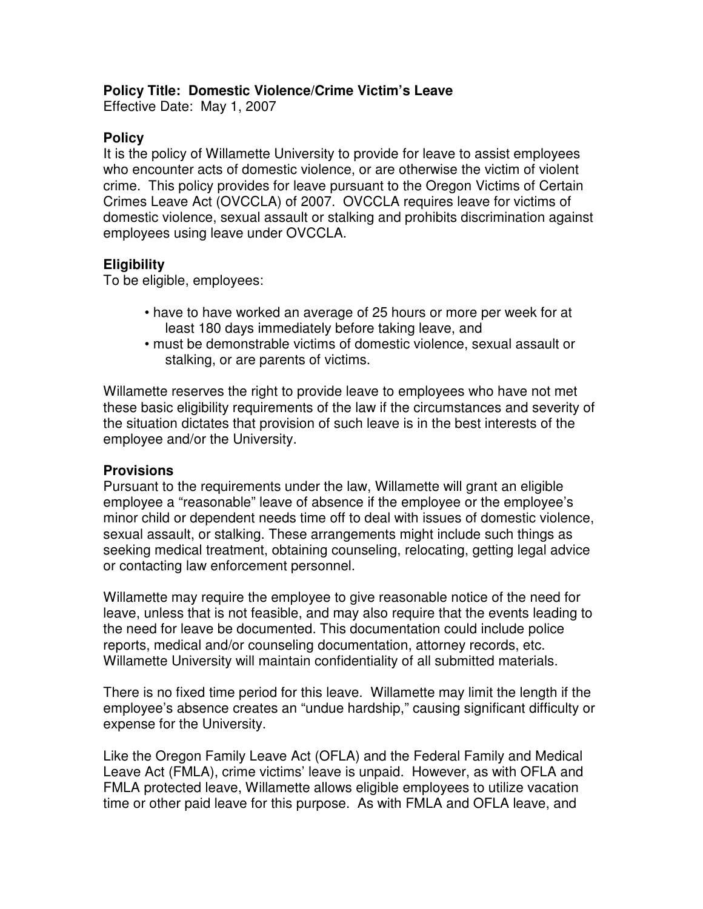## **Policy Title: Domestic Violence/Crime Victim's Leave**

Effective Date: May 1, 2007

## **Policy**

It is the policy of Willamette University to provide for leave to assist employees who encounter acts of domestic violence, or are otherwise the victim of violent crime. This policy provides for leave pursuant to the Oregon Victims of Certain Crimes Leave Act (OVCCLA) of 2007. OVCCLA requires leave for victims of domestic violence, sexual assault or stalking and prohibits discrimination against employees using leave under OVCCLA.

# **Eligibility**

To be eligible, employees:

- have to have worked an average of 25 hours or more per week for at least 180 days immediately before taking leave, and
- must be demonstrable victims of domestic violence, sexual assault or stalking, or are parents of victims.

Willamette reserves the right to provide leave to employees who have not met these basic eligibility requirements of the law if the circumstances and severity of the situation dictates that provision of such leave is in the best interests of the employee and/or the University.

### **Provisions**

Pursuant to the requirements under the law, Willamette will grant an eligible employee a "reasonable" leave of absence if the employee or the employee's minor child or dependent needs time off to deal with issues of domestic violence, sexual assault, or stalking. These arrangements might include such things as seeking medical treatment, obtaining counseling, relocating, getting legal advice or contacting law enforcement personnel.

Willamette may require the employee to give reasonable notice of the need for leave, unless that is not feasible, and may also require that the events leading to the need for leave be documented. This documentation could include police reports, medical and/or counseling documentation, attorney records, etc. Willamette University will maintain confidentiality of all submitted materials.

There is no fixed time period for this leave. Willamette may limit the length if the employee's absence creates an "undue hardship," causing significant difficulty or expense for the University.

Like the Oregon Family Leave Act (OFLA) and the Federal Family and Medical Leave Act (FMLA), crime victims' leave is unpaid. However, as with OFLA and FMLA protected leave, Willamette allows eligible employees to utilize vacation time or other paid leave for this purpose. As with FMLA and OFLA leave, and